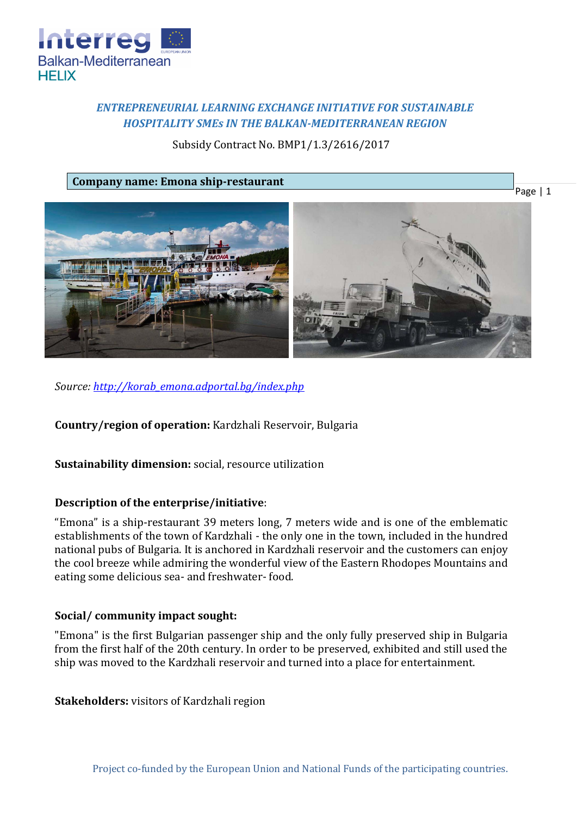

# *ENTREPRENEURIAL LEARNING EXCHANGE INITIATIVE FOR SUSTAINABLE HOSPITALITY SMEs IN THE BALKAN-MEDITERRANEAN REGION*

# Subsidy Contract No. BMP1/1.3/2616/2017

**Company name: Emona ship-restaurant**





*Source: [http://korab\\_emona.adportal.bg/index.php](http://korab_emona.adportal.bg/index.php)*

**Country/region of operation:** Kardzhali Reservoir, Bulgaria

**Sustainability dimension:** social, resource utilization

## **Description of the enterprise/initiative**:

"Emona" is a ship-restaurant 39 meters long, 7 meters wide and is one of the emblematic establishments of the town of Kardzhali - the only one in the town, included in the hundred national pubs of Bulgaria. It is anchored in Kardzhali reservoir and the customers can enjoy the cool breeze while admiring the wonderful view of the Eastern Rhodopes Mountains and eating some delicious sea- and freshwater- food.

## **Social/ community impact sought:**

"Emona" is the first Bulgarian passenger ship and the only fully preserved ship in Bulgaria from the first half of the 20th century. In order to be preserved, exhibited and still used the ship was moved to the Kardzhali reservoir and turned into a place for entertainment.

**Stakeholders:** visitors of Kardzhali region